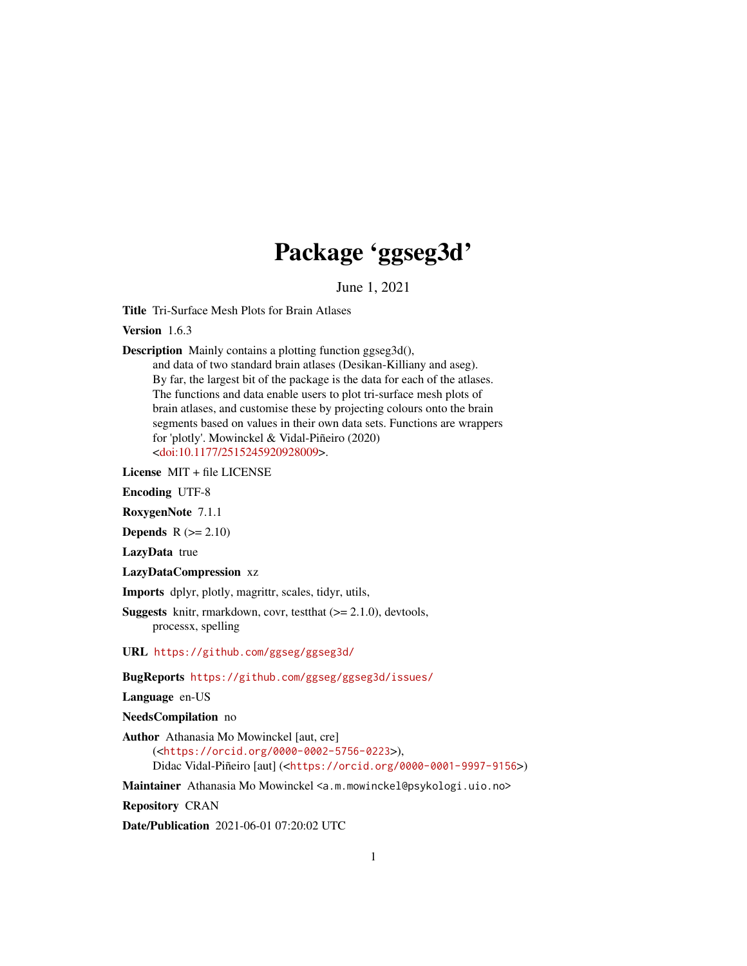## Package 'ggseg3d'

June 1, 2021

Title Tri-Surface Mesh Plots for Brain Atlases

Version 1.6.3

Description Mainly contains a plotting function ggseg3d(),

and data of two standard brain atlases (Desikan-Killiany and aseg). By far, the largest bit of the package is the data for each of the atlases. The functions and data enable users to plot tri-surface mesh plots of brain atlases, and customise these by projecting colours onto the brain segments based on values in their own data sets. Functions are wrappers for 'plotly'. Mowinckel & Vidal-Piñeiro (2020) [<doi:10.1177/2515245920928009>](https://doi.org/10.1177/2515245920928009).

License MIT + file LICENSE

Encoding UTF-8

RoxygenNote 7.1.1

Depends  $R (= 2.10)$ 

LazyData true

LazyDataCompression xz

Imports dplyr, plotly, magrittr, scales, tidyr, utils,

**Suggests** knitr, rmarkdown, covr, test that  $(>= 2.1.0)$ , devtools, processx, spelling

URL <https://github.com/ggseg/ggseg3d/>

BugReports <https://github.com/ggseg/ggseg3d/issues/>

Language en-US

NeedsCompilation no

Author Athanasia Mo Mowinckel [aut, cre]

(<<https://orcid.org/0000-0002-5756-0223>>), Didac Vidal-Piñeiro [aut] (<<https://orcid.org/0000-0001-9997-9156>>)

Maintainer Athanasia Mo Mowinckel <a.m.mowinckel@psykologi.uio.no>

Repository CRAN

Date/Publication 2021-06-01 07:20:02 UTC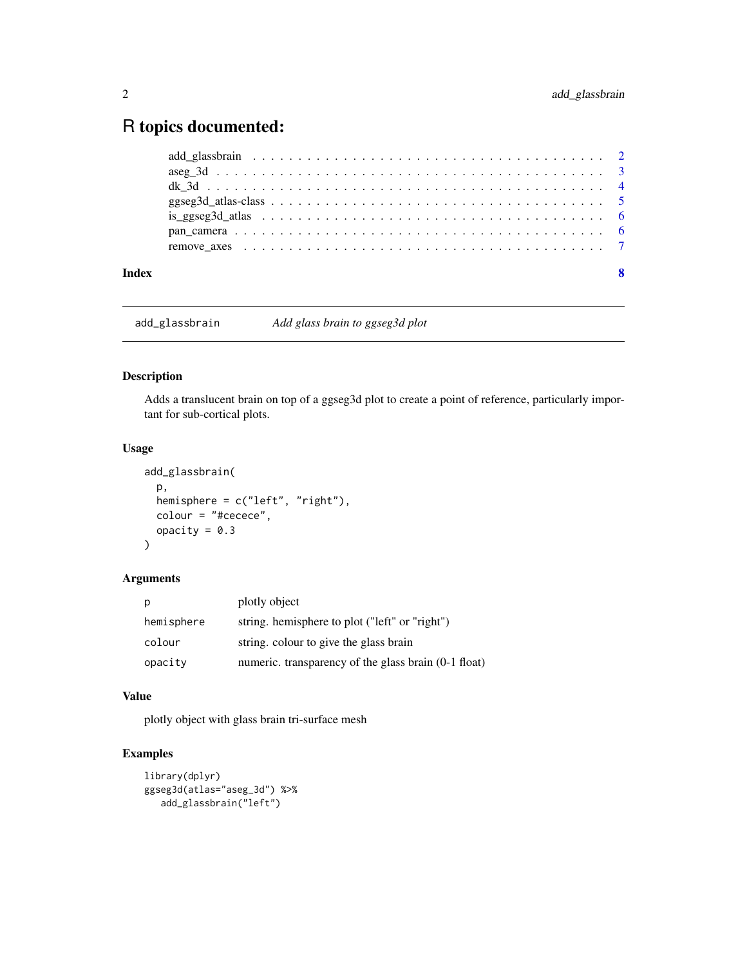## <span id="page-1-0"></span>R topics documented:

add\_glassbrain *Add glass brain to ggseg3d plot*

### Description

Adds a translucent brain on top of a ggseg3d plot to create a point of reference, particularly important for sub-cortical plots.

#### Usage

```
add_glassbrain(
 p,
 hemisphere = c("left", "right"),
 colour = "#cecece",
 opacity = 0.3)
```
#### Arguments

| p          | plotly object                                        |
|------------|------------------------------------------------------|
| hemisphere | string. hemisphere to plot ("left" or "right")       |
| colour     | string. colour to give the glass brain               |
| opacity    | numeric. transparency of the glass brain (0-1 float) |

#### Value

plotly object with glass brain tri-surface mesh

```
library(dplyr)
ggseg3d(atlas="aseg_3d") %>%
  add_glassbrain("left")
```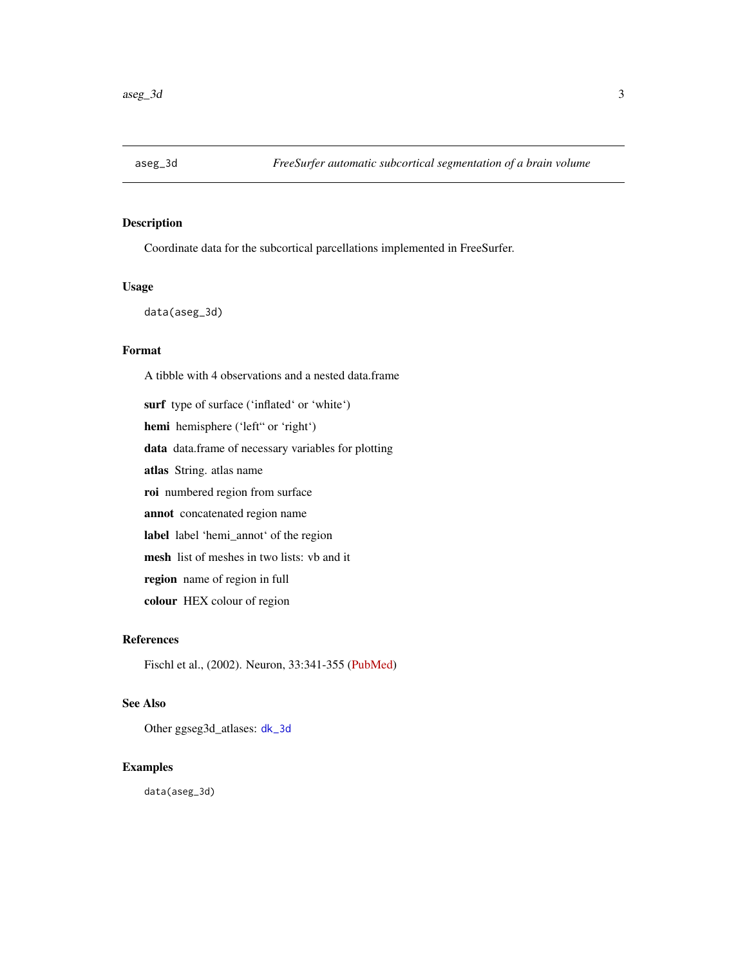<span id="page-2-1"></span><span id="page-2-0"></span>

#### Description

Coordinate data for the subcortical parcellations implemented in FreeSurfer.

#### Usage

data(aseg\_3d)

#### Format

A tibble with 4 observations and a nested data.frame surf type of surface ('inflated' or 'white') hemi hemisphere ('left" or 'right') data data.frame of necessary variables for plotting atlas String. atlas name roi numbered region from surface annot concatenated region name label label 'hemi\_annot' of the region mesh list of meshes in two lists: vb and it region name of region in full colour HEX colour of region

#### References

Fischl et al., (2002). Neuron, 33:341-355 [\(PubMed\)](https://pubmed.ncbi.nlm.nih.gov/11832223/)

#### See Also

Other ggseg3d\_atlases: [dk\\_3d](#page-3-1)

#### Examples

data(aseg\_3d)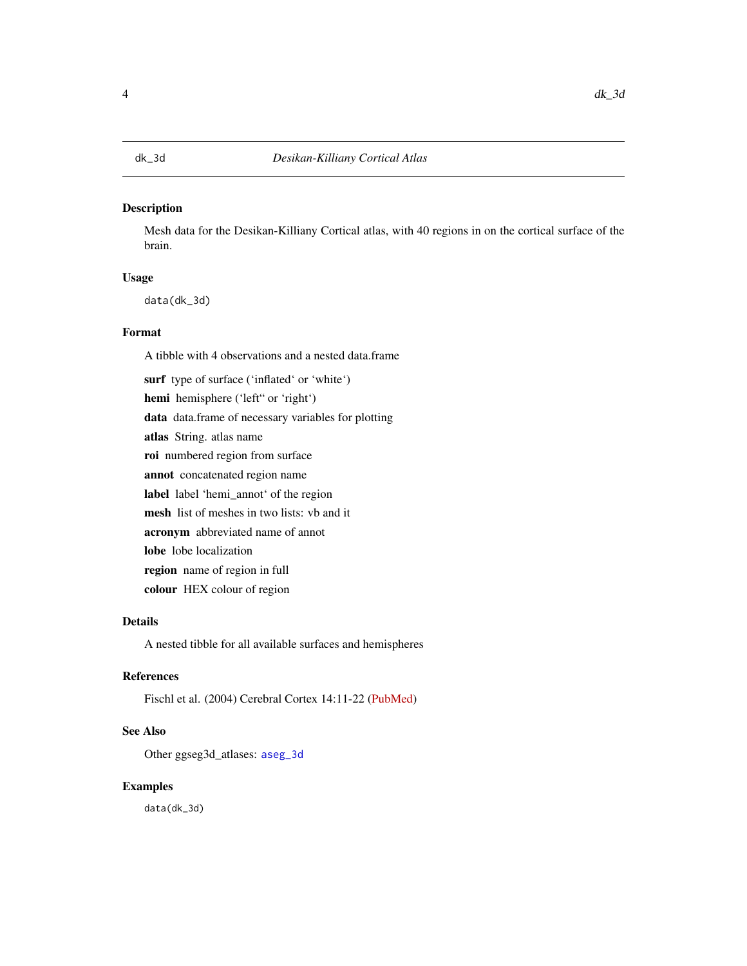#### <span id="page-3-1"></span><span id="page-3-0"></span>Description

Mesh data for the Desikan-Killiany Cortical atlas, with 40 regions in on the cortical surface of the brain.

### Usage

data(dk\_3d)

#### Format

A tibble with 4 observations and a nested data.frame

surf type of surface ('inflated' or 'white') hemi hemisphere ('left" or 'right') data data.frame of necessary variables for plotting atlas String. atlas name roi numbered region from surface annot concatenated region name label label 'hemi\_annot' of the region mesh list of meshes in two lists: vb and it acronym abbreviated name of annot lobe lobe localization region name of region in full colour HEX colour of region

#### Details

A nested tibble for all available surfaces and hemispheres

#### References

Fischl et al. (2004) Cerebral Cortex 14:11-22 [\(PubMed\)](https://academic.oup.com/cercor/article/14/1/11/433466)

#### See Also

Other ggseg3d\_atlases: [aseg\\_3d](#page-2-1)

#### Examples

data(dk\_3d)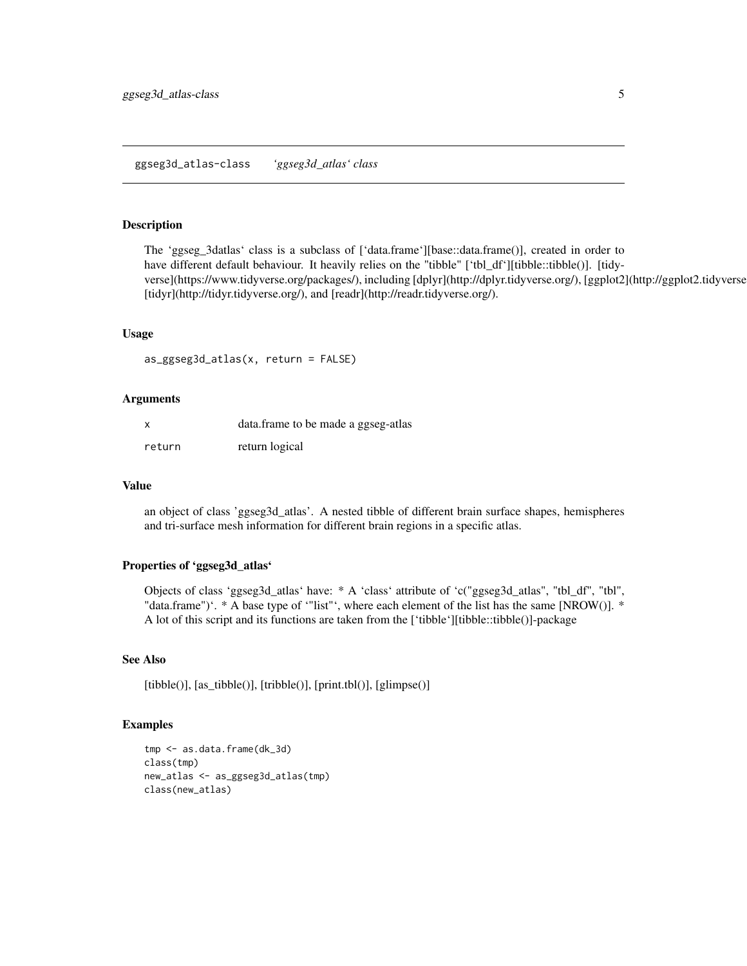<span id="page-4-0"></span>ggseg3d\_atlas-class *'ggseg3d\_atlas' class*

#### Description

The 'ggseg\_3datlas' class is a subclass of ['data.frame'][base::data.frame()], created in order to have different default behaviour. It heavily relies on the "tibble" ['tbl\_df'][tibble::tibble()]. [tidyverse](https://www.tidyverse.org/packages/), including [dplyr](http://dplyr.tidyverse.org/), [ggplot2](http://ggplot2.tidyverse.org/), [tidyr](http://tidyr.tidyverse.org/), and [readr](http://readr.tidyverse.org/).

#### Usage

```
as_ggseg3d_atlas(x, return = FALSE)
```
#### Arguments

| X      | data.frame to be made a ggseg-atlas |
|--------|-------------------------------------|
| return | return logical                      |

#### Value

an object of class 'ggseg3d\_atlas'. A nested tibble of different brain surface shapes, hemispheres and tri-surface mesh information for different brain regions in a specific atlas.

#### Properties of 'ggseg3d\_atlas'

Objects of class 'ggseg3d\_atlas' have: \* A 'class' attribute of 'c("ggseg3d\_atlas", "tbl\_df", "tbl", "data.frame")'. \* A base type of '"list"', where each element of the list has the same [NROW()]. \* A lot of this script and its functions are taken from the ['tibble'][tibble::tibble()]-package

#### See Also

[tibble()], [as\_tibble()], [tribble()], [print.tbl()], [glimpse()]

```
tmp <- as.data.frame(dk_3d)
class(tmp)
new_atlas <- as_ggseg3d_atlas(tmp)
class(new_atlas)
```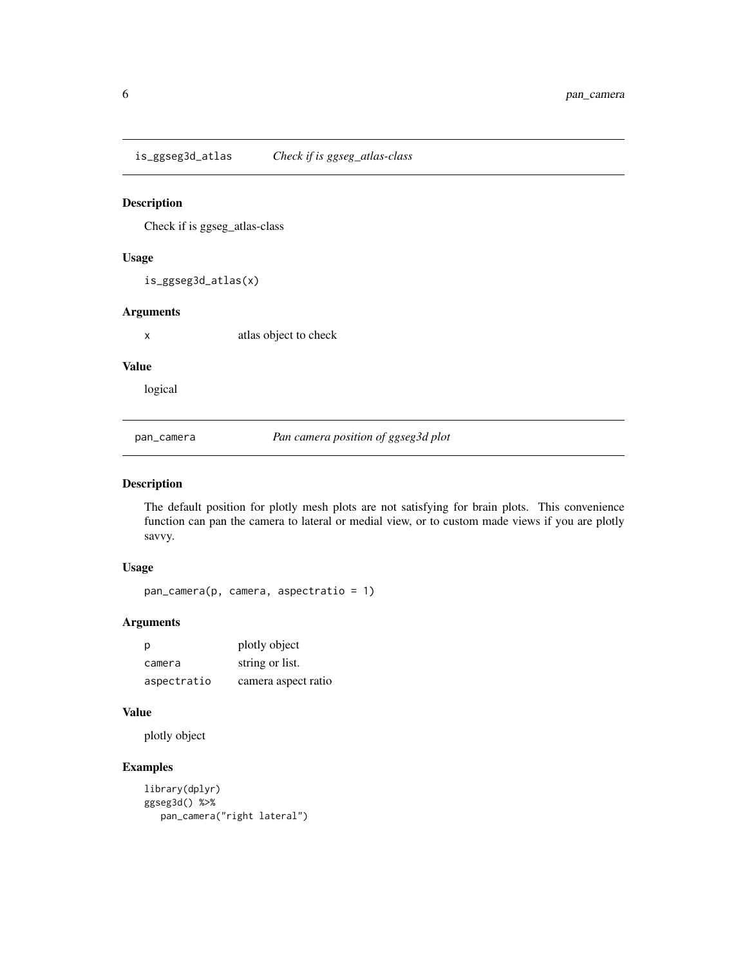<span id="page-5-0"></span>is\_ggseg3d\_atlas *Check if is ggseg\_atlas-class*

#### Description

Check if is ggseg\_atlas-class

#### Usage

is\_ggseg3d\_atlas(x)

#### Arguments

x atlas object to check

#### Value

logical

pan\_camera *Pan camera position of ggseg3d plot*

#### Description

The default position for plotly mesh plots are not satisfying for brain plots. This convenience function can pan the camera to lateral or medial view, or to custom made views if you are plotly savvy.

#### Usage

pan\_camera(p, camera, aspectratio = 1)

#### Arguments

| p           | plotly object       |
|-------------|---------------------|
| camera      | string or list.     |
| aspectratio | camera aspect ratio |

#### Value

plotly object

```
library(dplyr)
ggseg3d() %>%
  pan_camera("right lateral")
```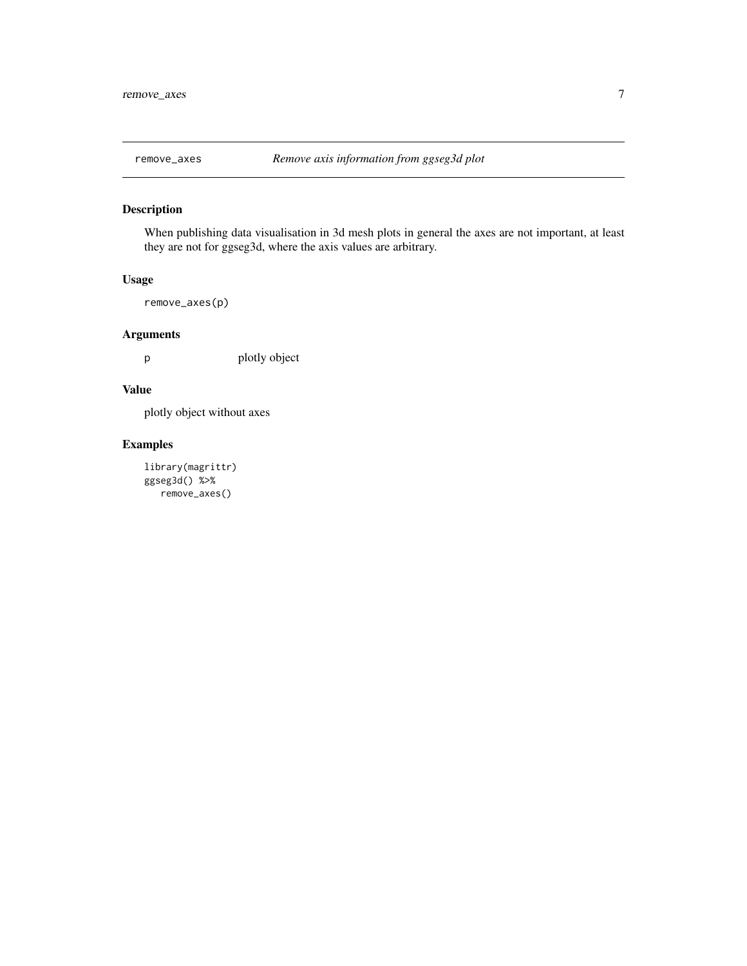<span id="page-6-0"></span>

#### Description

When publishing data visualisation in 3d mesh plots in general the axes are not important, at least they are not for ggseg3d, where the axis values are arbitrary.

#### Usage

```
remove_axes(p)
```
#### Arguments

p plotly object

#### Value

plotly object without axes

```
library(magrittr)
ggseg3d() %>%
  remove_axes()
```